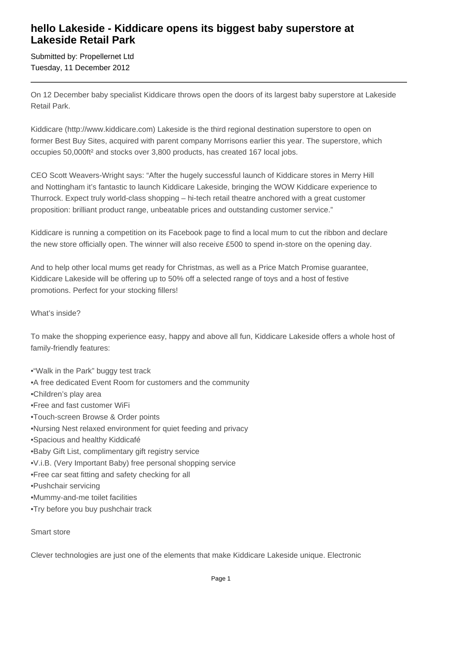# **hello Lakeside - Kiddicare opens its biggest baby superstore at Lakeside Retail Park**

Submitted by: Propellernet Ltd Tuesday, 11 December 2012

On 12 December baby specialist Kiddicare throws open the doors of its largest baby superstore at Lakeside Retail Park.

Kiddicare (http://www.kiddicare.com) Lakeside is the third regional destination superstore to open on former Best Buy Sites, acquired with parent company Morrisons earlier this year. The superstore, which occupies 50,000ft² and stocks over 3,800 products, has created 167 local jobs.

CEO Scott Weavers-Wright says: "After the hugely successful launch of Kiddicare stores in Merry Hill and Nottingham it's fantastic to launch Kiddicare Lakeside, bringing the WOW Kiddicare experience to Thurrock. Expect truly world-class shopping – hi-tech retail theatre anchored with a great customer proposition: brilliant product range, unbeatable prices and outstanding customer service."

Kiddicare is running a competition on its Facebook page to find a local mum to cut the ribbon and declare the new store officially open. The winner will also receive £500 to spend in-store on the opening day.

And to help other local mums get ready for Christmas, as well as a Price Match Promise guarantee, Kiddicare Lakeside will be offering up to 50% off a selected range of toys and a host of festive promotions. Perfect for your stocking fillers!

#### What's inside?

To make the shopping experience easy, happy and above all fun, Kiddicare Lakeside offers a whole host of family-friendly features:

- "Walk in the Park" buggy test track
- A free dedicated Event Room for customers and the community
- • Children's play area
- • Free and fast customer WiFi
- Touch-screen Browse & Order points
- • Nursing Nest relaxed environment for quiet feeding and privacy
- • Spacious and healthy Kiddicafé
- Baby Gift List, complimentary gift registry service
- • V.i.B. (Very Important Baby) free personal shopping service
- Free car seat fitting and safety checking for all
- • Pushchair servicing
- • Mummy-and-me toilet facilities
- • Try before you buy pushchair track

#### Smart store

Clever technologies are just one of the elements that make Kiddicare Lakeside unique. Electronic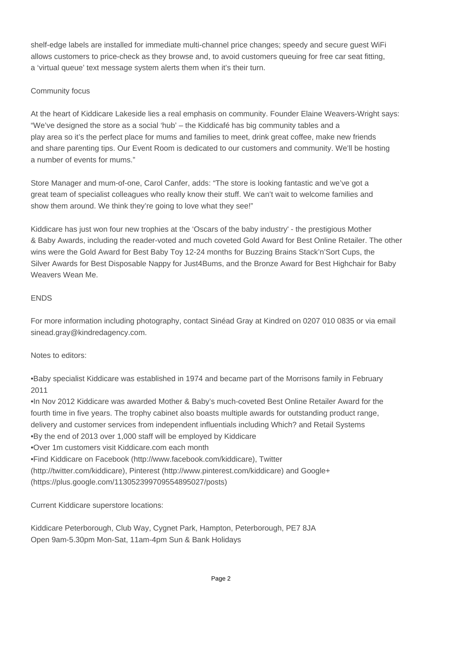shelf-edge labels are installed for immediate multi-channel price changes; speedy and secure guest WiFi allows customers to price-check as they browse and, to avoid customers queuing for free car seat fitting, a 'virtual queue' text message system alerts them when it's their turn.

### Community focus

At the heart of Kiddicare Lakeside lies a real emphasis on community. Founder Elaine Weavers-Wright says: "We've designed the store as a social 'hub' – the Kiddicafé has big community tables and a play area so it's the perfect place for mums and families to meet, drink great coffee, make new friends and share parenting tips. Our Event Room is dedicated to our customers and community. We'll be hosting a number of events for mums."

Store Manager and mum-of-one, Carol Canfer, adds: "The store is looking fantastic and we've got a great team of specialist colleagues who really know their stuff. We can't wait to welcome families and show them around. We think they're going to love what they see!"

Kiddicare has just won four new trophies at the 'Oscars of the baby industry' - the prestigious Mother & Baby Awards, including the reader-voted and much coveted Gold Award for Best Online Retailer. The other wins were the Gold Award for Best Baby Toy 12-24 months for Buzzing Brains Stack'n'Sort Cups, the Silver Awards for Best Disposable Nappy for Just4Bums, and the Bronze Award for Best Highchair for Baby Weavers Wean Me.

## ENDS

For more information including photography, contact Sinéad Gray at Kindred on 0207 010 0835 or via email sinead.gray@kindredagency.com.

Notes to editors:

• Baby specialist Kiddicare was established in 1974 and became part of the Morrisons family in February 2011

• In Nov 2012 Kiddicare was awarded Mother & Baby's much-coveted Best Online Retailer Award for the fourth time in five years. The trophy cabinet also boasts multiple awards for outstanding product range, delivery and customer services from independent influentials including Which? and Retail Systems

- By the end of 2013 over 1,000 staff will be employed by Kiddicare
- • Over 1m customers visit Kiddicare.com each month
- Find Kiddicare on Facebook (http://www.facebook.com/kiddicare), Twitter

(http://twitter.com/kiddicare), Pinterest (http://www.pinterest.com/kiddicare) and Google+ (https://plus.google.com/113052399709554895027/posts)

Current Kiddicare superstore locations:

Kiddicare Peterborough, Club Way, Cygnet Park, Hampton, Peterborough, PE7 8JA Open 9am-5.30pm Mon-Sat, 11am-4pm Sun & Bank Holidays